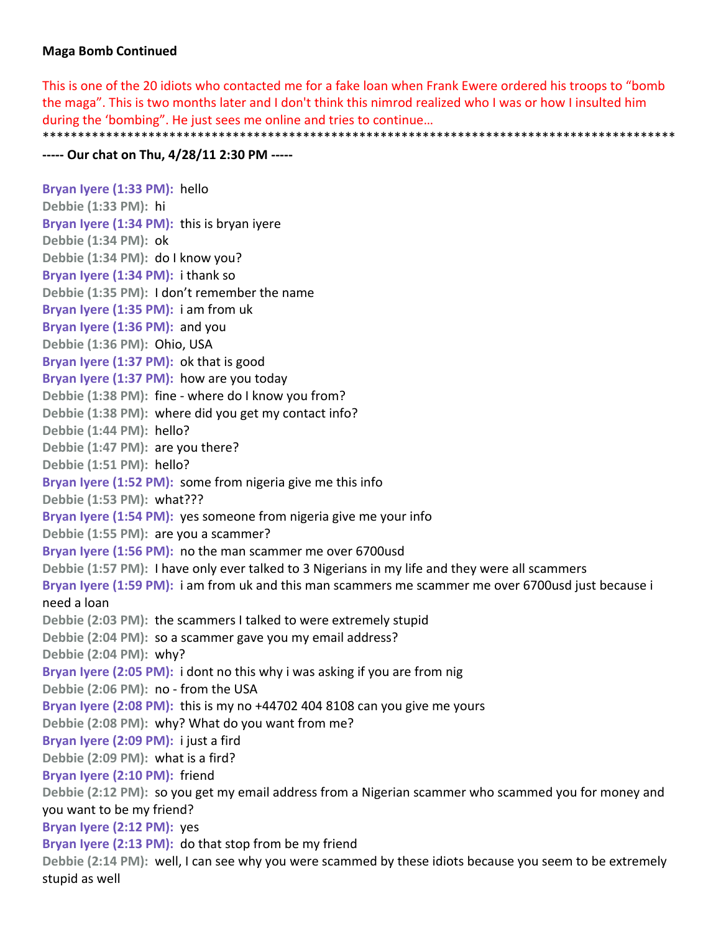## **Maga Bomb Continued**

This is one of the 20 idiots who contacted me for a fake loan when Frank Ewere ordered his troops to "bomb the maga". This is two months later and I don't think this nimrod realized who I was or how I insulted him during the 'bombing". He just sees me online and tries to continue… \*\*\*\*\*\*\*\*\*\*\*\*\*\*\*\*\*\*\*\*\*\*\*\*\*\*\*\*\*\*\*\*\*\*\*\*\*\*\*\*\*\*\*\*\*\*\*\*\*\*\*\*\*\*\*\*\*\*\*\*\*\*\*\*\*\*\*\*\*\*\*\*\*\*\*\*\*\*\*\*\*\*\*\*\*\*\*\*\*\*

## **‐‐‐‐‐ Our chat on Thu, 4/28/11 2:30 PM ‐‐‐‐‐**

**Bryan Iyere (1:33 PM):** hello **Debbie (1:33 PM):** hi **Bryan Iyere (1:34 PM):** this is bryan iyere **Debbie (1:34 PM):** ok **Debbie (1:34 PM):** do I know you? **Bryan Iyere (1:34 PM):** i thank so **Debbie (1:35 PM):** I don't remember the name **Bryan Iyere (1:35 PM):** i am from uk **Bryan Iyere (1:36 PM):** and you **Debbie (1:36 PM):** Ohio, USA **Bryan Iyere (1:37 PM):** ok that is good **Bryan Iyere (1:37 PM):** how are you today **Debbie (1:38 PM):** fine ‐ where do I know you from? **Debbie (1:38 PM):** where did you get my contact info? **Debbie (1:44 PM):** hello? **Debbie (1:47 PM):** are you there? **Debbie (1:51 PM):** hello? **Bryan Iyere (1:52 PM):** some from nigeria give me this info **Debbie (1:53 PM):** what??? **Bryan Iyere (1:54 PM):** yes someone from nigeria give me your info **Debbie (1:55 PM):** are you a scammer? **Bryan Iyere (1:56 PM):** no the man scammer me over 6700usd **Debbie (1:57 PM):** I have only ever talked to 3 Nigerians in my life and they were all scammers **Bryan Iyere (1:59 PM):** i am from uk and this man scammers me scammer me over 6700usd just because i need a loan **Debbie (2:03 PM):** the scammers I talked to were extremely stupid **Debbie (2:04 PM):** so a scammer gave you my email address? **Debbie (2:04 PM):** why? **Bryan Iyere (2:05 PM):** i dont no this why i was asking if you are from nig **Debbie (2:06 PM):** no ‐ from the USA **Bryan Iyere (2:08 PM):** this is my no +44702 404 8108 can you give me yours **Debbie (2:08 PM):** why? What do you want from me? **Bryan Iyere (2:09 PM):** i just a fird **Debbie (2:09 PM):** what is a fird? **Bryan Iyere (2:10 PM):** friend **Debbie (2:12 PM):** so you get my email address from a Nigerian scammer who scammed you for money and you want to be my friend? **Bryan Iyere (2:12 PM):** yes **Bryan Iyere (2:13 PM):** do that stop from be my friend **Debbie (2:14 PM):** well, I can see why you were scammed by these idiots because you seem to be extremely stupid as well